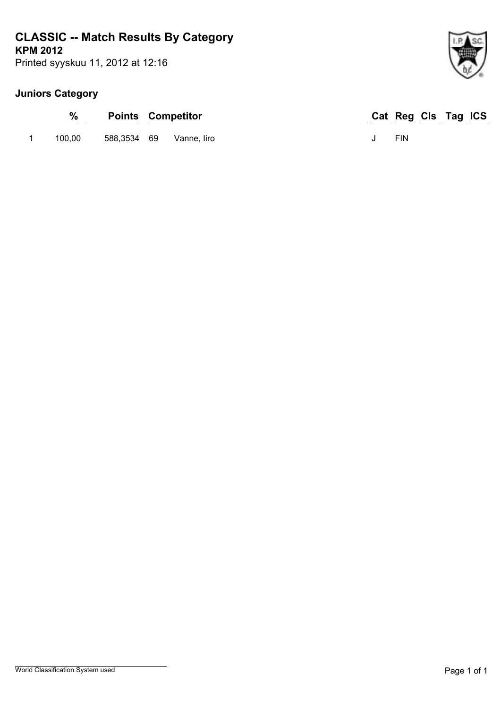# **KPM 2012 CLASSIC -- Match Results By Category**

Printed syyskuu 11, 2012 at 12:16

| %      | <b>Points Competitor</b> | Cat Reg Cls Tag ICS |  |  |
|--------|--------------------------|---------------------|--|--|
| 100.00 | 588,3534 69 Vanne, liro  | <b>FIN</b>          |  |  |

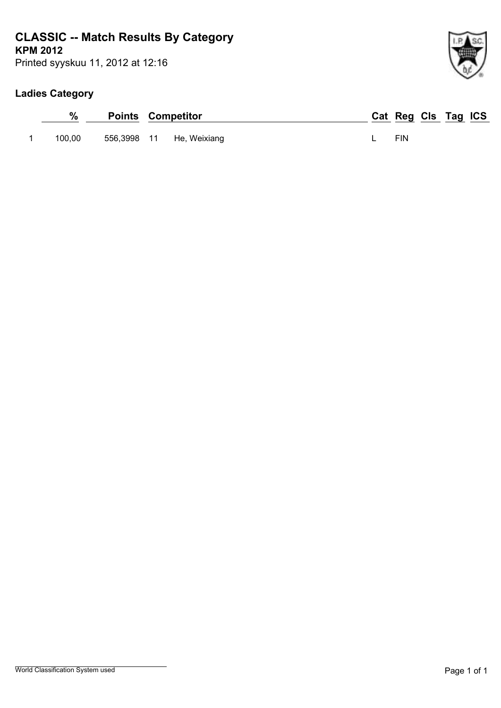# **KPM 2012 CLASSIC -- Match Results By Category**

Printed syyskuu 11, 2012 at 12:16

## **Ladies Category**

| %      | <b>Points Competitor</b> |                          | Cat Reg Cls Tag ICS |  |  |
|--------|--------------------------|--------------------------|---------------------|--|--|
| 100.00 |                          | 556,3998 11 He, Weixiang | <b>FIN</b>          |  |  |

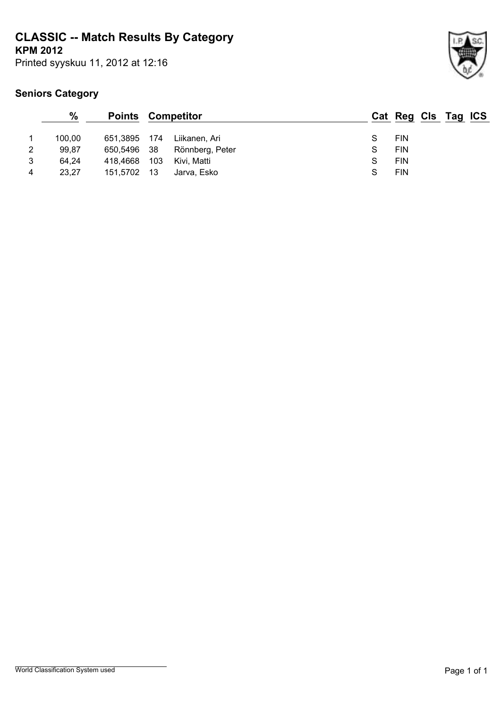**CLASSIC -- Match Results By Category**

**KPM 2012**

Printed syyskuu 11, 2012 at 12:16



|   | $\frac{9}{6}$ | <b>Points Competitor</b> |      |                 |   | Cat Reg Cls Tag ICS |  |  |
|---|---------------|--------------------------|------|-----------------|---|---------------------|--|--|
|   | 100,00        | 651,3895 174             |      | Liikanen, Ari   |   | FIN                 |  |  |
| 2 | 99,87         | 650,5496 38              |      | Rönnberg, Peter | S | <b>FIN</b>          |  |  |
| 3 | 64,24         | 418.4668                 | 103  | Kivi, Matti     | S | <b>FIN</b>          |  |  |
| 4 | 23,27         | 151,5702                 | - 13 | Jarva. Esko     | S | <b>FIN</b>          |  |  |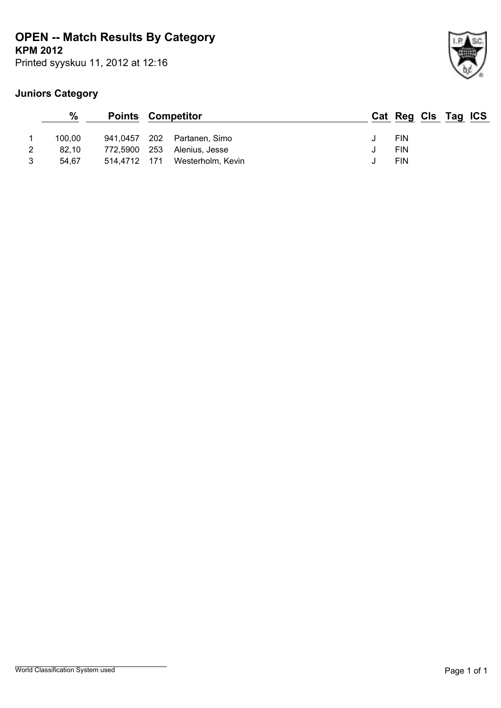# **KPM 2012 OPEN -- Match Results By Category**

Printed syyskuu 11, 2012 at 12:16



|   | $\frac{0}{0}$ | <b>Points Competitor</b> |                    | Cat Reg Cls Tag ICS |  |  |
|---|---------------|--------------------------|--------------------|---------------------|--|--|
|   | 100.00        | 941.0457                 | 202 Partanen, Simo | <b>FIN</b>          |  |  |
|   | 82.10         | 772,5900 253             | Alenius. Jesse     | <b>FIN</b>          |  |  |
| 3 | 54.67         | 514.4712 171             | Westerholm, Kevin  | FIN                 |  |  |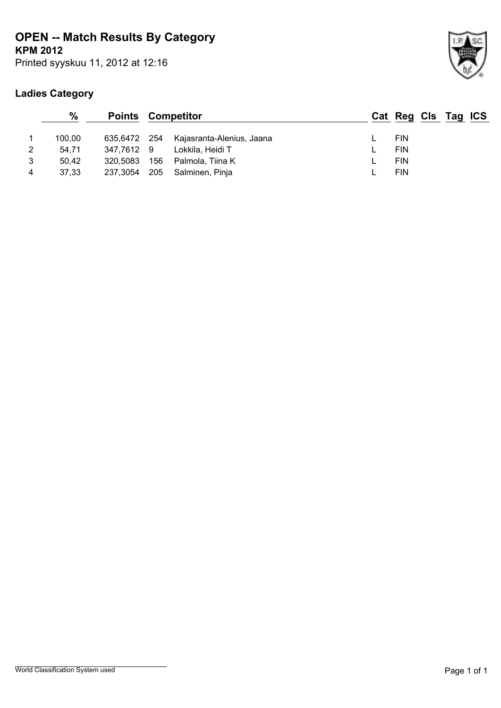# **OPEN -- Match Results By Category**

**KPM 2012**

Printed syyskuu 11, 2012 at 12:16

## **Ladies Category**



 $Tag ICS$ </u>

|   | $\%$   | <b>Points Competitor</b> |     |                                        | Cat Reg Cls |  |
|---|--------|--------------------------|-----|----------------------------------------|-------------|--|
|   | 100.00 |                          |     | 635,6472 254 Kajasranta-Alenius, Jaana | <b>FIN</b>  |  |
| 2 | 54.71  | 347.7612 9               |     | Lokkila. Heidi T                       | <b>FIN</b>  |  |
| 3 | 50.42  | 320,5083                 | 156 | Palmola, Tiina K                       | <b>FIN</b>  |  |
| 4 | 37.33  | 237.3054                 |     | 205 Salminen, Pinja                    | <b>FIN</b>  |  |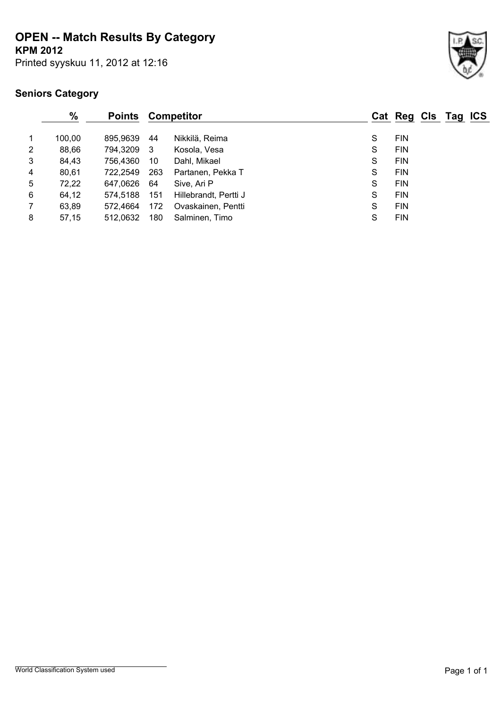# **OPEN -- Match Results By Category**

**KPM 2012**

Printed syyskuu 11, 2012 at 12:16



|   | $\frac{0}{0}$ | <b>Points</b> |     | <b>Competitor</b>     |   | Cat Reg Cls Tag ICS |  |  |
|---|---------------|---------------|-----|-----------------------|---|---------------------|--|--|
|   | 100.00        | 895.9639      | -44 | Nikkilä, Reima        | S | <b>FIN</b>          |  |  |
| 2 | 88,66         | 794,3209 3    |     | Kosola, Vesa          | S | <b>FIN</b>          |  |  |
| 3 | 84,43         | 756,4360      | 10  | Dahl, Mikael          | S | <b>FIN</b>          |  |  |
| 4 | 80,61         | 722,2549      | 263 | Partanen, Pekka T     | S | <b>FIN</b>          |  |  |
| 5 | 72,22         | 647,0626      | 64  | Sive, Ari P           | S | <b>FIN</b>          |  |  |
| 6 | 64,12         | 574.5188      | 151 | Hillebrandt, Pertti J | S | <b>FIN</b>          |  |  |
| 7 | 63,89         | 572.4664      | 172 | Ovaskainen, Pentti    | S | <b>FIN</b>          |  |  |
| 8 | 57,15         | 512.0632      | 180 | Salminen, Timo        | S | <b>FIN</b>          |  |  |
|   |               |               |     |                       |   |                     |  |  |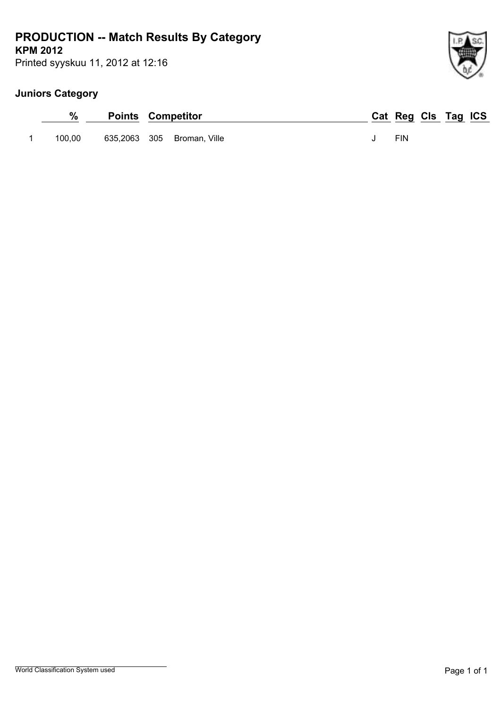# **KPM 2012 PRODUCTION -- Match Results By Category**

Printed syyskuu 11, 2012 at 12:16

| %      | <b>Points Competitor</b> |                            | Cat Reg Cls Tag ICS |  |  |
|--------|--------------------------|----------------------------|---------------------|--|--|
| 100.00 |                          | 635,2063 305 Broman, Ville | <b>FIN</b>          |  |  |

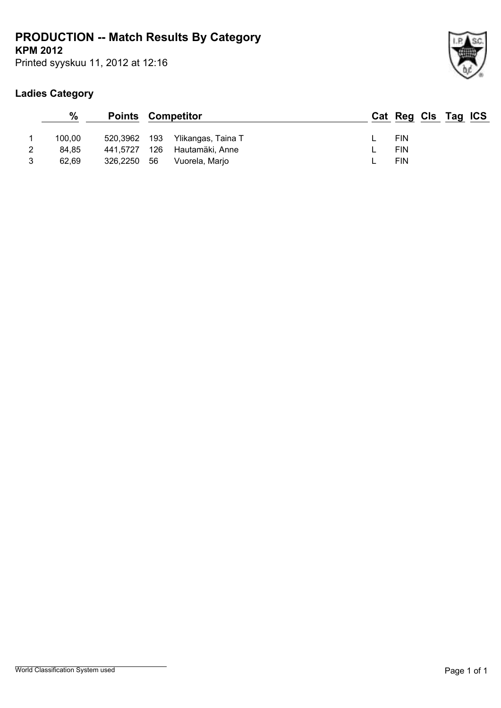# **KPM 2012 PRODUCTION -- Match Results By Category**

Printed syyskuu 11, 2012 at 12:16

## **Ladies Category**

|   | $\%$   | <b>Points Competitor</b> |      |                    | Cat Reg Cls Tag ICS |  |  |
|---|--------|--------------------------|------|--------------------|---------------------|--|--|
|   | 100.00 | 520,3962 193             |      | Ylikangas, Taina T | <b>FIN</b>          |  |  |
| 2 | 84.85  | 441.5727                 | 126  | Hautamäki, Anne    | <b>FIN</b>          |  |  |
| 3 | 62.69  | 326,2250                 | - 56 | Vuorela, Marjo     | <b>FIN</b>          |  |  |

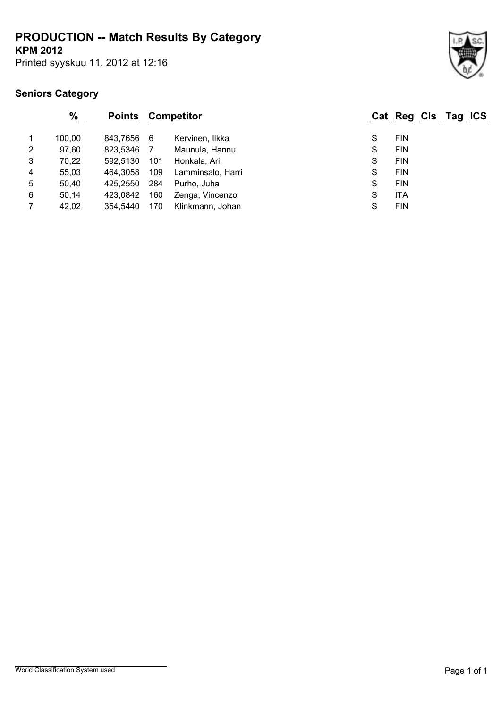# **PRODUCTION -- Match Results By Category**

**KPM 2012**

Printed syyskuu 11, 2012 at 12:16



|                | $\frac{0}{0}$ | <b>Points</b> |     | Competitor        |   | Cat Reg Cls Tag ICS |  |  |
|----------------|---------------|---------------|-----|-------------------|---|---------------------|--|--|
|                | 100.00        | 843.7656      | -6  | Kervinen, Ilkka   | S | <b>FIN</b>          |  |  |
| 2              | 97,60         | 823,5346      | 7   | Maunula, Hannu    | S | <b>FIN</b>          |  |  |
| 3              | 70,22         | 592.5130      | 101 | Honkala, Ari      | S | <b>FIN</b>          |  |  |
| $\overline{4}$ | 55,03         | 464.3058      | 109 | Lamminsalo, Harri | S | <b>FIN</b>          |  |  |
| 5              | 50,40         | 425.2550      | 284 | Purho, Juha       | S | <b>FIN</b>          |  |  |
| 6              | 50,14         | 423.0842      | 160 | Zenga, Vincenzo   | S | <b>ITA</b>          |  |  |
|                | 42,02         | 354.5440      | 170 | Klinkmann, Johan  | S | <b>FIN</b>          |  |  |
|                |               |               |     |                   |   |                     |  |  |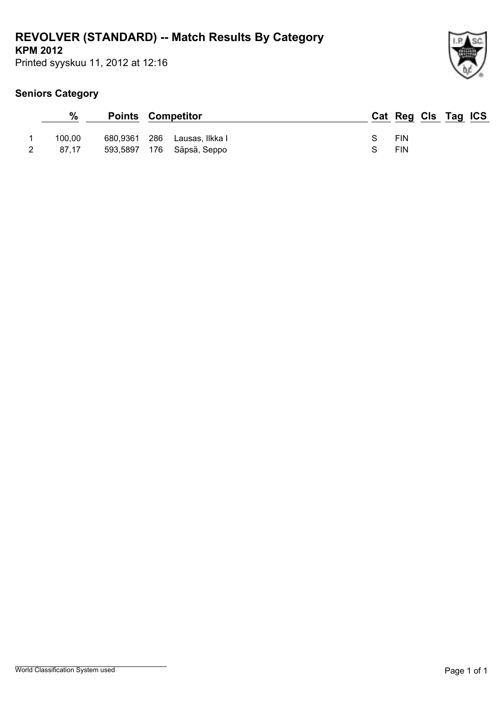# **REVOLVER (STANDARD) -- Match Results By Category**

**KPM 2012**

Printed syyskuu 11, 2012 at 12:16



| %               |          | <b>Points Competitor</b>                              | Cat Reg Cls Tag ICS |
|-----------------|----------|-------------------------------------------------------|---------------------|
| 100.00<br>87.17 | 680,9361 | - 286<br>Lausas, Ilkka I<br>593,5897 176 Säpsä, Seppo | S FIN<br>FIN<br>S.  |
|                 |          |                                                       |                     |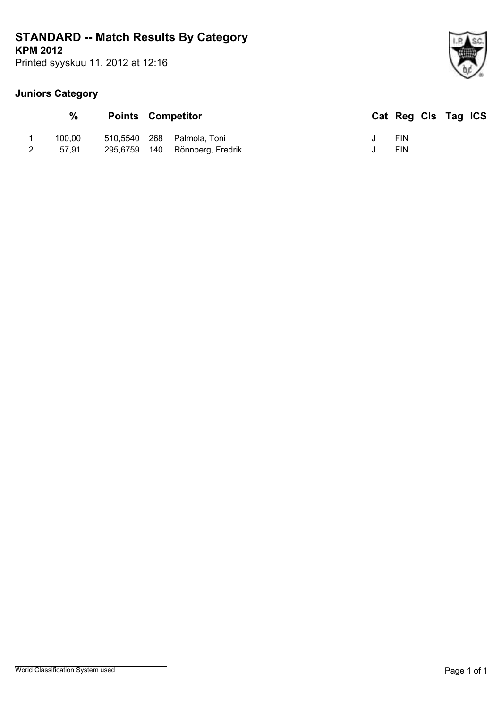# **KPM 2012 STANDARD -- Match Results By Category**

Printed syyskuu 11, 2012 at 12:16

| %      | <b>Points Competitor</b> |                                | Cat Reg Cls Tag ICS |  |  |
|--------|--------------------------|--------------------------------|---------------------|--|--|
| 100.00 |                          | 510,5540 268 Palmola, Toni     | <b>FIN</b>          |  |  |
| 57.91  |                          | 295,6759 140 Rönnberg, Fredrik | <b>FIN</b>          |  |  |

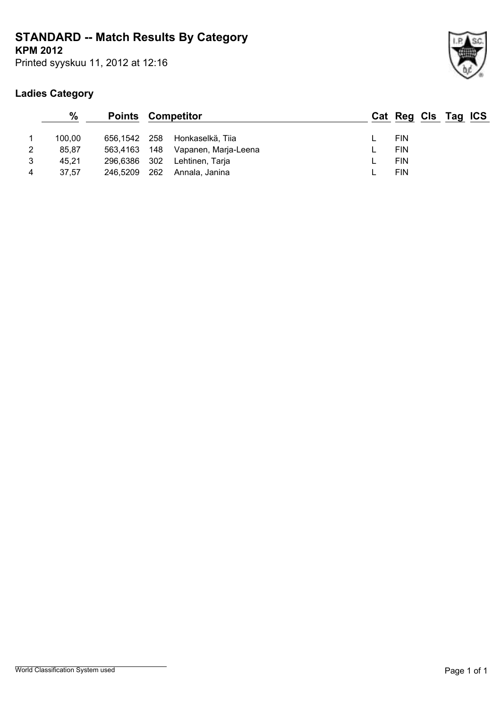# **STANDARD -- Match Results By Category**

**KPM 2012**

Printed syyskuu 11, 2012 at 12:16

## **Ladies Category**

|   | $\%$   | <b>Points Competitor</b> |     |                      | Cat Reg Cls Tag ICS |  |  |
|---|--------|--------------------------|-----|----------------------|---------------------|--|--|
|   | 100.00 | 656.1542 258             |     | Honkaselkä. Tiia     | <b>FIN</b>          |  |  |
| 2 | 85.87  | 563,4163 148             |     | Vapanen, Marja-Leena | <b>FIN</b>          |  |  |
| 3 | 45.21  | 296,6386 302             |     | Lehtinen, Tarja      | <b>FIN</b>          |  |  |
| 4 | 37.57  | 246,5209                 | 262 | Annala, Janina       | <b>FIN</b>          |  |  |
|   |        |                          |     |                      |                     |  |  |